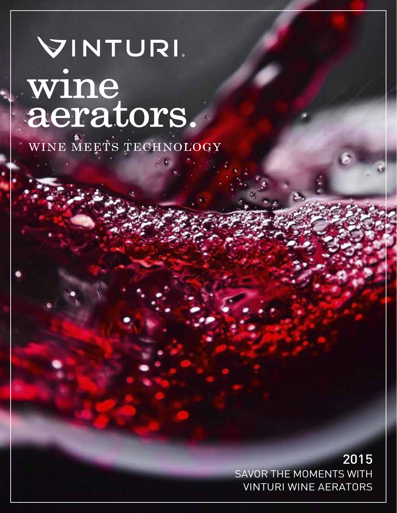### VINTURI wine aerators.

WINE MEETS TECHNOLOGY

SAVOR THE MOMENTS WITH VINTURI WINE AERATORS 2015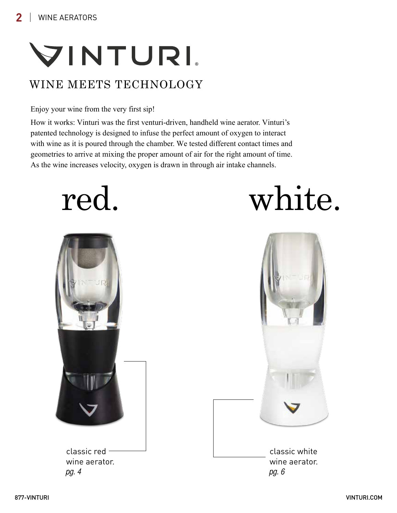### VINTURI

### WINE MEETS TECHNOLOGY

#### Enjoy your wine from the very first sip!

How it works: Vinturi was the first venturi-driven, handheld wine aerator. Vinturi's patented technology is designed to infuse the perfect amount of oxygen to interact with wine as it is poured through the chamber. We tested different contact times and geometries to arrive at mixing the proper amount of air for the right amount of time. As the wine increases velocity, oxygen is drawn in through air intake channels.

### red. white.



classic red wine aerator. pg. 4



classic white wine aerator. pg. 6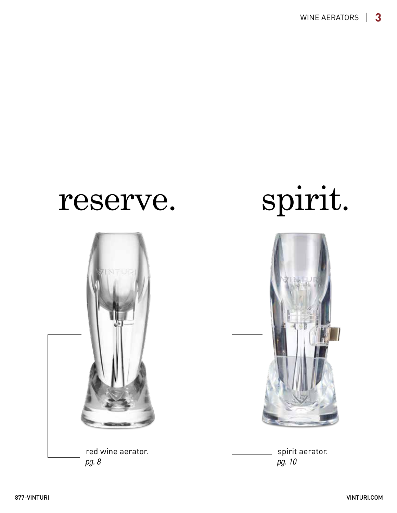

## reserve. spirit.



spirit aerator. pg. 10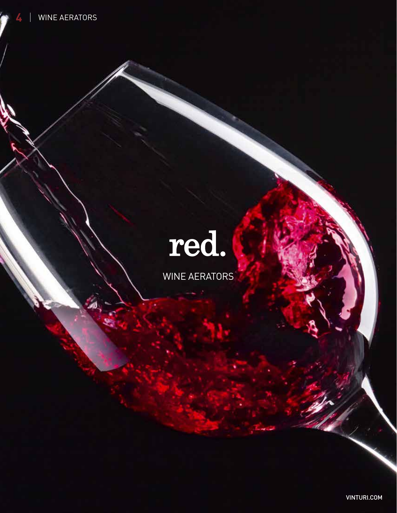## red.

WINE AERATORS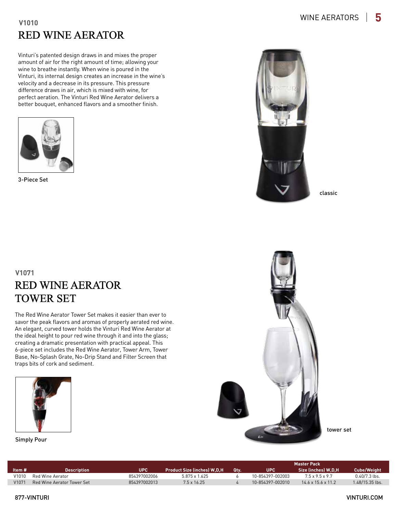#### RED WINE AERATOR **V1010**

Vinturi's patented design draws in and mixes the proper amount of air for the right amount of time; allowing your wine to breathe instantly. When wine is poured in the Vinturi, its internal design creates an increase in the wine's velocity and a decrease in its pressure. This pressure difference draws in air, which is mixed with wine, for perfect aeration. The Vinturi Red Wine Aerator delivers a better bouquet, enhanced flavors and a smoother finish.



3-Piece Set



classic

#### RED WINE AERATOR TOWER SET **V1071**

The Red Wine Aerator Tower Set makes it easier than ever to savor the peak flavors and aromas of properly aerated red wine. An elegant, curved tower holds the Vinturi Red Wine Aerator at the ideal height to pour red wine through it and into the glass; creating a dramatic presentation with practical appeal. This 6-piece set includes the Red Wine Aerator, Tower Arm, Tower Base, No-Splash Grate, No-Drip Stand and Filter Screen that traps bits of cork and sediment.





tower set

|        |                            |              |                                    |      | <b>Master Pack</b> |                                |                    |  |
|--------|----------------------------|--------------|------------------------------------|------|--------------------|--------------------------------|--------------------|--|
| ltem # | <b>Description</b>         | <b>UPC</b>   | <b>Product Size (inches) W.D.H</b> | .Qtv | UPC                | Size (inches) W.D.H            | <b>Cube/Weight</b> |  |
| V1010  | Red Wine Aerator           | 854397002006 | 5.875 x 1.625                      |      | 10-854397-002003   | 7.5 x 9.5 x 9.7                | $0.40/7.3$ lbs.    |  |
| V1071  | Red Wine Aerator Tower Set | 854397002013 | $7.5 \times 16.25$                 |      | 10-854397-002010   | $14.6 \times 15.6 \times 11.2$ | $1.48/15.35$ lbs.  |  |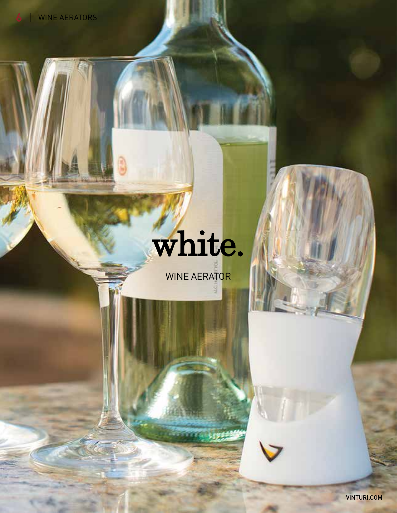## white.

WINE AERATOR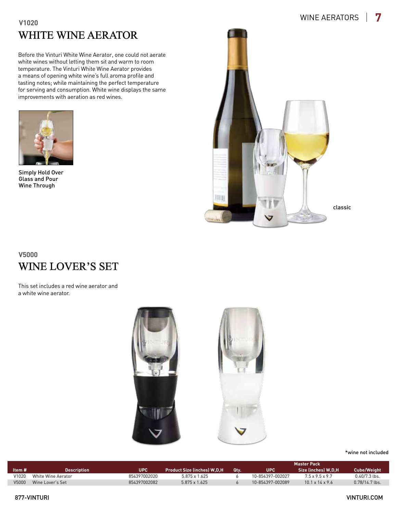#### WHITE WINE AERATOR **V1020**

Before the Vinturi White Wine Aerator, one could not aerate white wines without letting them sit and warm to room temperature. The Vinturi White Wine Aerator provides a means of opening white wine's full aroma profile and tasting notes; while maintaining the perfect temperature for serving and consumption. White wine displays the same improvements with aeration as red wines.



Simply Hold Over Glass and Pour Wine Through



#### WINE LOVER'S SET **V5000**

This set includes a red wine aerator and a white wine aerator.



#### \*wine not included

|        |                    |              |                                    |             | <b>Master Pack</b> |                           |                  |  |
|--------|--------------------|--------------|------------------------------------|-------------|--------------------|---------------------------|------------------|--|
| Item # | <b>Description</b> | <b>UPC</b>   | <b>Product Size (inches) W,D,H</b> | <b>Otv.</b> | <b>UPC</b>         | Size (inches) W.D.H       | Cube/Weight      |  |
| V1020  | White Wine Aerator | 854397002020 | 5.875 x 1.625                      |             | 10-854397-002027   | 7.5 x 9.5 x 9.7           | $0.40/7.3$ lbs.  |  |
| V5000  | Wine Lover's Set   | 854397002082 | $5.875 \times 1.625$               |             | 10-854397-002089   | $101 \times 14 \times 96$ | $0.78/14.7$ lbs. |  |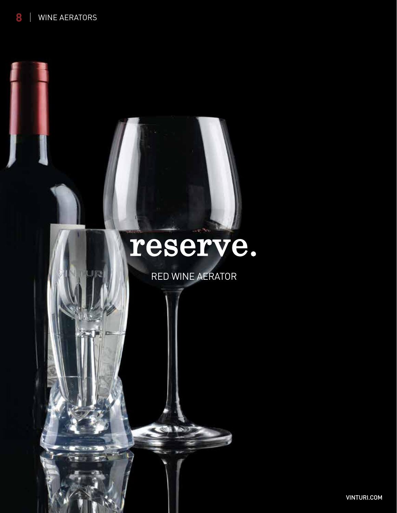### reserve.

RED WINE AERATOR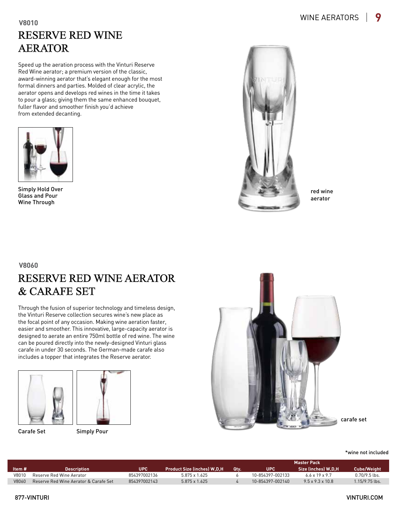#### RESERVE RED WINE AERATOR **V8010**

Speed up the aeration process with the Vinturi Reserve Red Wine aerator; a premium version of the classic, award-winning aerator that's elegant enough for the most formal dinners and parties. Molded of clear acrylic, the aerator opens and develops red wines in the time it takes to pour a glass; giving them the same enhanced bouquet, fuller flavor and smoother finish you'd achieve from extended decanting.



Simply Hold Over Glass and Pour Wine Through



red wine aerator

#### RESERVE RED WINE AERATOR & CARAFE SET **V8060**

Through the fusion of superior technology and timeless design, the Vinturi Reserve collection secures wine's new place as the focal point of any occasion. Making wine aeration faster, easier and smoother. This innovative, large-capacity aerator is designed to aerate an entire 750ml bottle of red wine. The wine can be poured directly into the newly-designed Vinturi glass carafe in under 30 seconds. The German-made carafe also includes a topper that integrates the Reserve aerator.





Carafe Set Simply Pour



carafe set

\*wine not included

|        |                                       |              |                             |     | <b>Master Pack</b> |                              |                    |  |
|--------|---------------------------------------|--------------|-----------------------------|-----|--------------------|------------------------------|--------------------|--|
| ltem # | <b>Description</b>                    | UPC          | Product Size (inches) W.D.H | Qtv | UPC'               | Size (inches) W.D.H          | <b>Cube/Weight</b> |  |
| V8010  | Reserve Red Wine Aerator              | 854397002136 | 5.875 x 1.625               |     | 10-854397-002133   | 66x19x97                     | $0.70/9.5$ lbs.    |  |
| V8060  | Reserve Red Wine Aerator & Carafe Set | 854397002143 | $5.875 \times 1.625$        |     | 10-854397-002140   | $9.5 \times 9.3 \times 10.8$ | $1.15/9.75$ lbs.   |  |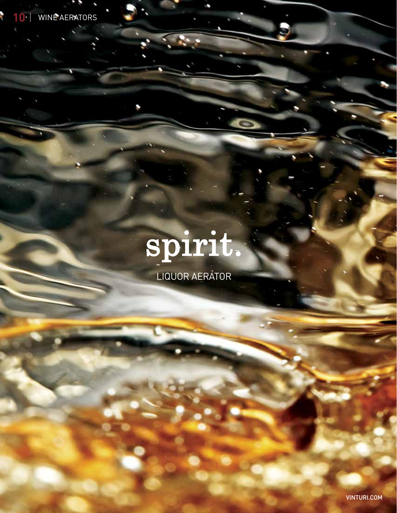

# spirit.

a,

LIQUOR AERATOR

**VINTURI.COM**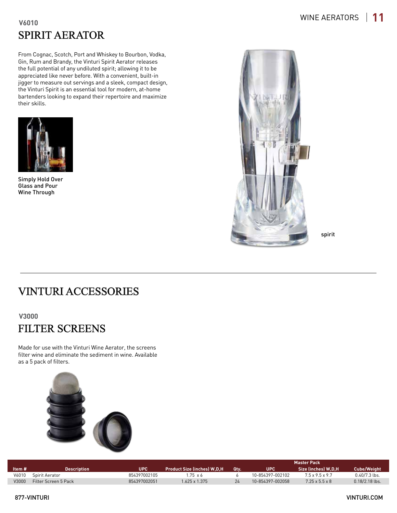#### SPIRIT AERATOR **V6010**

From Cognac, Scotch, Port and Whiskey to Bourbon, Vodka, Gin, Rum and Brandy, the Vinturi Spirit Aerator releases the full potential of any undiluted spirit; allowing it to be appreciated like never before. With a convenient, built-in jigger to measure out servings and a sleek, compact design, the Vinturi Spirit is an essential tool for modern, at-home bartenders looking to expand their repertoire and maximize their skills.



Simply Hold Over Glass and Pour Wine Through



spirit

#### VINTURI ACCESSORIES

**V3000**

### FILTER SCREENS

Made for use with the Vinturi Wine Aerator, the screens filter wine and eliminate the sediment in wine. Available as a 5 pack of filters.



|        |                      |              |                                    |             | <b>Master Pack</b> |                          |                    |  |
|--------|----------------------|--------------|------------------------------------|-------------|--------------------|--------------------------|--------------------|--|
| ltem # | <b>Description</b>   | UPC          | <b>Product Size (inches) W,D,H</b> | <b>Otv.</b> | <b>UPC</b>         | Size (inches) W.D.H      | <b>Cube/Weight</b> |  |
| V6010  | Spirit Aerator       | 854397002105 | $.75 \times 6$                     |             | 10-854397-002102   | 75 x 95 x 97             | $0.40/7.3$ lbs.    |  |
| V3000  | Filter Screen 5 Pack | 854397002051 | $1.625 \times 1.375$               |             | 10-854397-002058   | $725 \times 55 \times 8$ | $0.18/2.18$ lbs.   |  |